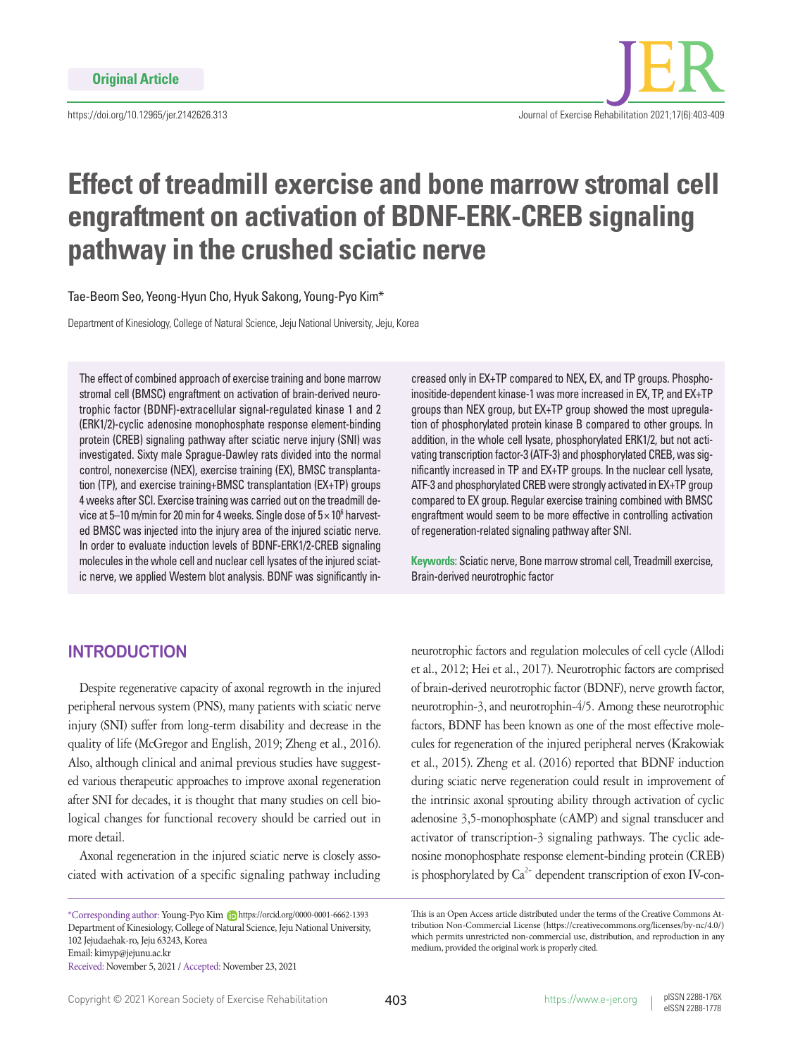

# **Effect of treadmill exercise and bone marrow stromal cell engraftment on activation of BDNF-ERK-CREB signaling pathway in the crushed sciatic nerve**

Tae-Beom Seo, Yeong-Hyun Cho, Hyuk Sakong, Young-Pyo Kim\*

Department of Kinesiology, College of Natural Science, Jeju National University, Jeju, Korea

The effect of combined approach of exercise training and bone marrow stromal cell (BMSC) engraftment on activation of brain-derived neurotrophic factor (BDNF)-extracellular signal-regulated kinase 1 and 2 (ERK1/2)-cyclic adenosine monophosphate response element-binding protein (CREB) signaling pathway after sciatic nerve injury (SNI) was investigated. Sixty male Sprague-Dawley rats divided into the normal control, nonexercise (NEX), exercise training (EX), BMSC transplantation (TP), and exercise training+BMSC transplantation (EX+TP) groups 4 weeks after SCI. Exercise training was carried out on the treadmill device at 5–10 m/min for 20 min for 4 weeks. Single dose of  $5\times10^6$  harvested BMSC was injected into the injury area of the injured sciatic nerve. In order to evaluate induction levels of BDNF-ERK1/2-CREB signaling molecules in the whole cell and nuclear cell lysates of the injured sciatic nerve, we applied Western blot analysis. BDNF was significantly in-

creased only in EX+TP compared to NEX, EX, and TP groups. Phosphoinositide-dependent kinase-1 was more increased in EX, TP, and EX+TP groups than NEX group, but EX+TP group showed the most upregulation of phosphorylated protein kinase B compared to other groups. In addition, in the whole cell lysate, phosphorylated ERK1/2, but not activating transcription factor-3 (ATF-3) and phosphorylated CREB, was significantly increased in TP and EX+TP groups. In the nuclear cell lysate, ATF-3 and phosphorylated CREB were strongly activated in EX+TP group compared to EX group. Regular exercise training combined with BMSC engraftment would seem to be more effective in controlling activation of regeneration-related signaling pathway after SNI.

**Keywords:** Sciatic nerve, Bone marrow stromal cell, Treadmill exercise, Brain-derived neurotrophic factor

# **INTRODUCTION**

Despite regenerative capacity of axonal regrowth in the injured peripheral nervous system (PNS), many patients with sciatic nerve injury (SNI) suffer from long-term disability and decrease in the quality of life (McGregor and English, 2019; Zheng et al., 2016). Also, although clinical and animal previous studies have suggested various therapeutic approaches to improve axonal regeneration after SNI for decades, it is thought that many studies on cell biological changes for functional recovery should be carried out in more detail.

Axonal regeneration in the injured sciatic nerve is closely associated with activation of a specific signaling pathway including

\*Corresponding author: Young-Pyo Kim https://orcid.org/0000-0001-6662-1393 Department of Kinesiology, College of Natural Science, Jeju National University, 102 Jejudaehak-ro, Jeju 63243, Korea Email: kimyp@jejunu.ac.kr Received: November 5, 2021 / Accepted: November 23, 2021

neurotrophic factors and regulation molecules of cell cycle (Allodi et al., 2012; Hei et al., 2017). Neurotrophic factors are comprised of brain-derived neurotrophic factor (BDNF), nerve growth factor, neurotrophin-3, and neurotrophin-4/5. Among these neurotrophic factors, BDNF has been known as one of the most effective molecules for regeneration of the injured peripheral nerves (Krakowiak et al., 2015). Zheng et al. (2016) reported that BDNF induction during sciatic nerve regeneration could result in improvement of the intrinsic axonal sprouting ability through activation of cyclic adenosine 3,5-monophosphate (cAMP) and signal transducer and activator of transcription-3 signaling pathways. The cyclic adenosine monophosphate response element-binding protein (CREB) is phosphorylated by  $Ca^{2+}$  dependent transcription of exon IV-con-

This is an Open Access article distributed under the terms of the Creative Commons Attribution Non-Commercial License (https://creativecommons.org/licenses/by-nc/4.0/) which permits unrestricted non-commercial use, distribution, and reproduction in any medium, provided the original work is properly cited.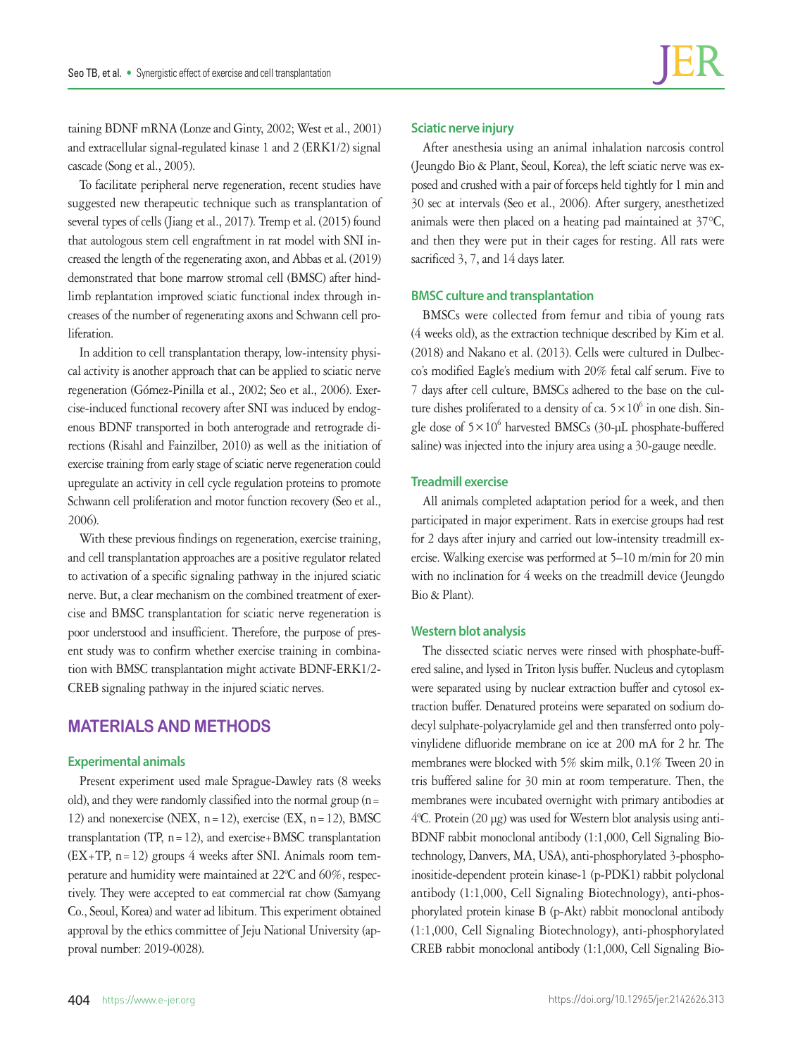taining BDNF mRNA (Lonze and Ginty, 2002; West et al., 2001) and extracellular signal-regulated kinase 1 and 2 (ERK1/2) signal cascade (Song et al., 2005).

To facilitate peripheral nerve regeneration, recent studies have suggested new therapeutic technique such as transplantation of several types of cells (Jiang et al., 2017). Tremp et al. (2015) found that autologous stem cell engraftment in rat model with SNI increased the length of the regenerating axon, and Abbas et al. (2019) demonstrated that bone marrow stromal cell (BMSC) after hindlimb replantation improved sciatic functional index through increases of the number of regenerating axons and Schwann cell proliferation.

In addition to cell transplantation therapy, low-intensity physical activity is another approach that can be applied to sciatic nerve regeneration (Gómez-Pinilla et al., 2002; Seo et al., 2006). Exercise-induced functional recovery after SNI was induced by endogenous BDNF transported in both anterograde and retrograde directions (Risahl and Fainzilber, 2010) as well as the initiation of exercise training from early stage of sciatic nerve regeneration could upregulate an activity in cell cycle regulation proteins to promote Schwann cell proliferation and motor function recovery (Seo et al., 2006).

With these previous findings on regeneration, exercise training, and cell transplantation approaches are a positive regulator related to activation of a specific signaling pathway in the injured sciatic nerve. But, a clear mechanism on the combined treatment of exercise and BMSC transplantation for sciatic nerve regeneration is poor understood and insufficient. Therefore, the purpose of present study was to confirm whether exercise training in combination with BMSC transplantation might activate BDNF-ERK1/2- CREB signaling pathway in the injured sciatic nerves.

## **MATERIALS AND METHODS**

#### **Experimental animals**

Present experiment used male Sprague-Dawley rats (8 weeks old), and they were randomly classified into the normal group  $(n=$ 12) and nonexercise (NEX,  $n=12$ ), exercise (EX,  $n=12$ ), BMSC transplantation (TP,  $n = 12$ ), and exercise+BMSC transplantation  $(EX+TP, n=12)$  groups 4 weeks after SNI. Animals room temperature and humidity were maintained at 22ºC and 60%, respectively. They were accepted to eat commercial rat chow (Samyang Co., Seoul, Korea) and water ad libitum. This experiment obtained approval by the ethics committee of Jeju National University (approval number: 2019-0028).

#### **Sciatic nerve injury**

After anesthesia using an animal inhalation narcosis control (Jeungdo Bio & Plant, Seoul, Korea), the left sciatic nerve was exposed and crushed with a pair of forceps held tightly for 1 min and 30 sec at intervals (Seo et al., 2006). After surgery, anesthetized animals were then placed on a heating pad maintained at 37°C, and then they were put in their cages for resting. All rats were sacrificed 3, 7, and 14 days later.

#### **BMSC culture and transplantation**

BMSCs were collected from femur and tibia of young rats (4 weeks old), as the extraction technique described by Kim et al. (2018) and Nakano et al. (2013). Cells were cultured in Dulbecco's modified Eagle's medium with 20% fetal calf serum. Five to 7 days after cell culture, BMSCs adhered to the base on the culture dishes proliferated to a density of ca.  $5 \times 10^6$  in one dish. Single dose of  $5 \times 10^6$  harvested BMSCs (30-µL phosphate-buffered saline) was injected into the injury area using a 30-gauge needle.

## **Treadmill exercise**

All animals completed adaptation period for a week, and then participated in major experiment. Rats in exercise groups had rest for 2 days after injury and carried out low-intensity treadmill exercise. Walking exercise was performed at 5–10 m/min for 20 min with no inclination for 4 weeks on the treadmill device (Jeungdo Bio & Plant).

#### **Western blot analysis**

The dissected sciatic nerves were rinsed with phosphate-buffered saline, and lysed in Triton lysis buffer. Nucleus and cytoplasm were separated using by nuclear extraction buffer and cytosol extraction buffer. Denatured proteins were separated on sodium dodecyl sulphate-polyacrylamide gel and then transferred onto polyvinylidene difluoride membrane on ice at 200 mA for 2 hr. The membranes were blocked with 5% skim milk, 0.1% Tween 20 in tris buffered saline for 30 min at room temperature. Then, the membranes were incubated overnight with primary antibodies at 4ºC. Protein (20 μg) was used for Western blot analysis using anti-BDNF rabbit monoclonal antibody (1:1,000, Cell Signaling Biotechnology, Danvers, MA, USA), anti-phosphorylated 3-phosphoinositide-dependent protein kinase-1 (p-PDK1) rabbit polyclonal antibody (1:1,000, Cell Signaling Biotechnology), anti-phosphorylated protein kinase B (p-Akt) rabbit monoclonal antibody (1:1,000, Cell Signaling Biotechnology), anti-phosphorylated CREB rabbit monoclonal antibody (1:1,000, Cell Signaling Bio-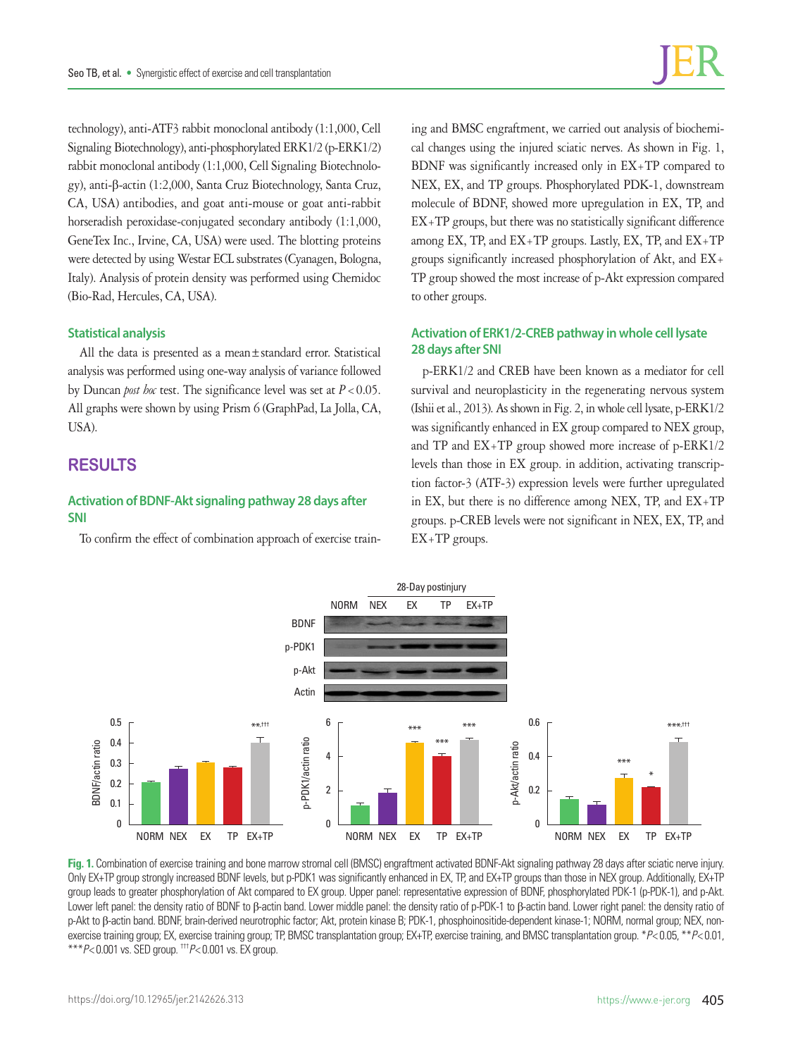technology), anti-ATF3 rabbit monoclonal antibody (1:1,000, Cell Signaling Biotechnology), anti-phosphorylated ERK1/2 (p-ERK1/2) rabbit monoclonal antibody (1:1,000, Cell Signaling Biotechnology), anti-β-actin (1:2,000, Santa Cruz Biotechnology, Santa Cruz, CA, USA) antibodies, and goat anti-mouse or goat anti-rabbit horseradish peroxidase-conjugated secondary antibody (1:1,000, GeneTex Inc., Irvine, CA, USA) were used. The blotting proteins were detected by using Westar ECL substrates (Cyanagen, Bologna, Italy). Analysis of protein density was performed using Chemidoc (Bio-Rad, Hercules, CA, USA).

#### **Statistical analysis**

All the data is presented as a mean±standard error. Statistical analysis was performed using one-way analysis of variance followed by Duncan *post hoc* test. The significance level was set at *P*<0.05. All graphs were shown by using Prism 6 (GraphPad, La Jolla, CA, USA).

## **RESULTS**

## **Activation of BDNF-Akt signaling pathway 28 days after SNI**

To confirm the effect of combination approach of exercise train-

ing and BMSC engraftment, we carried out analysis of biochemical changes using the injured sciatic nerves. As shown in Fig. 1, BDNF was significantly increased only in EX+TP compared to NEX, EX, and TP groups. Phosphorylated PDK-1, downstream molecule of BDNF, showed more upregulation in EX, TP, and EX+TP groups, but there was no statistically significant difference among EX, TP, and EX+TP groups. Lastly, EX, TP, and EX+TP groups significantly increased phosphorylation of Akt, and EX+ TP group showed the most increase of p-Akt expression compared to other groups.

## **Activation of ERK1/2-CREB pathway in whole cell lysate 28 days after SNI**

p-ERK1/2 and CREB have been known as a mediator for cell survival and neuroplasticity in the regenerating nervous system (Ishii et al., 2013). As shown in Fig. 2, in whole cell lysate, p-ERK1/2 was significantly enhanced in EX group compared to NEX group, and TP and EX+TP group showed more increase of p-ERK1/2 levels than those in EX group. in addition, activating transcription factor-3 (ATF-3) expression levels were further upregulated in EX, but there is no difference among NEX, TP, and EX+TP groups. p-CREB levels were not significant in NEX, EX, TP, and EX+TP groups.



**Fig. 1.** Combination of exercise training and bone marrow stromal cell (BMSC) engraftment activated BDNF-Akt signaling pathway 28 days after sciatic nerve injury. Only EX+TP group strongly increased BDNF levels, but p-PDK1 was significantly enhanced in EX, TP, and EX+TP groups than those in NEX group. Additionally, EX+TP group leads to greater phosphorylation of Akt compared to EX group. Upper panel: representative expression of BDNF, phosphorylated PDK-1 (p-PDK-1), and p-Akt. Lower left panel: the density ratio of BDNF to β-actin band. Lower middle panel: the density ratio of p-PDK-1 to β-actin band. Lower right panel: the density ratio of p-Akt to β-actin band. BDNF, brain-derived neurotrophic factor; Akt, protein kinase B; PDK-1, phosphoinositide-dependent kinase-1; NORM, normal group; NEX, nonexercise training group; EX, exercise training group; TP, BMSC transplantation group; EX+TP, exercise training, and BMSC transplantation group. \**P*< 0.05, \*\**P*< 0.01, \*\*\**P*< 0.001 vs. SED group. †††*P*< 0.001 vs. EX group.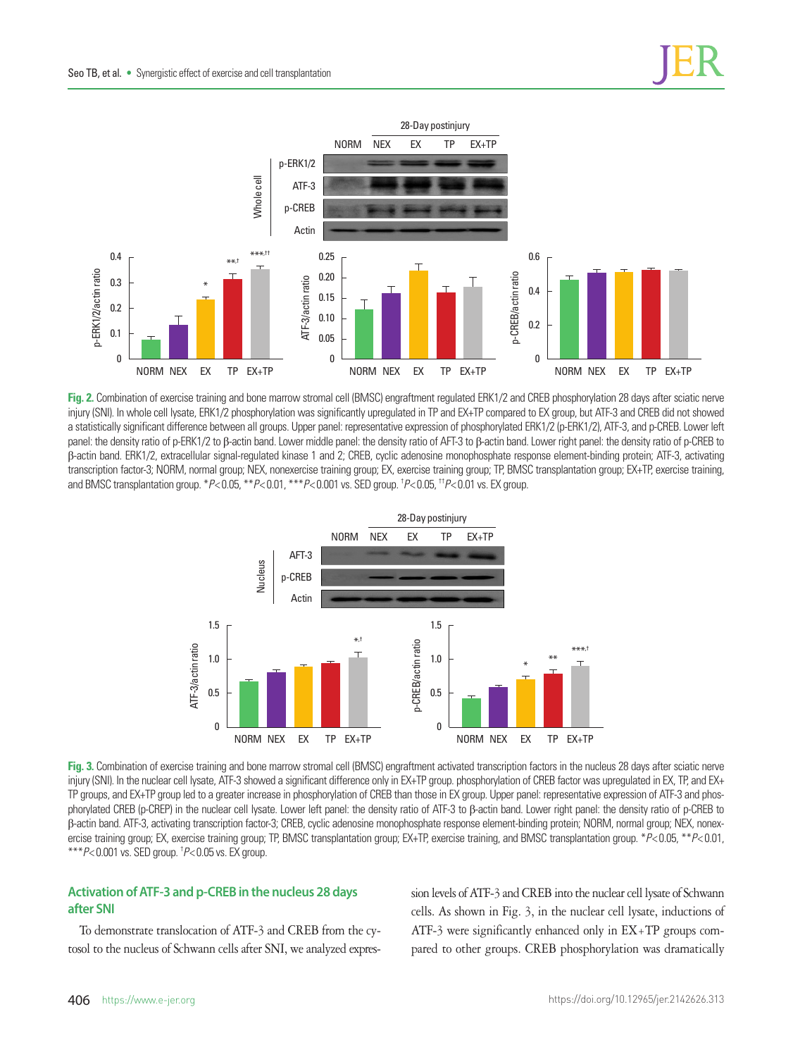

**Fig. 2.** Combination of exercise training and bone marrow stromal cell (BMSC) engraftment regulated ERK1/2 and CREB phosphorylation 28 days after sciatic nerve injury (SNI). In whole cell lysate, ERK1/2 phosphorylation was significantly upregulated in TP and EX+TP compared to EX group, but ATF-3 and CREB did not showed a statistically significant difference between all groups. Upper panel: representative expression of phosphorylated ERK1/2 (p-ERK1/2), ATF-3, and p-CREB. Lower left panel: the density ratio of p-ERK1/2 to β-actin band. Lower middle panel: the density ratio of AFT-3 to β-actin band. Lower right panel: the density ratio of p-CREB to β-actin band. ERK1/2, extracellular signal-regulated kinase 1 and 2; CREB, cyclic adenosine monophosphate response element-binding protein; ATF-3, activating transcription factor-3; NORM, normal group; NEX, nonexercise training group; EX, exercise training group; TP, BMSC transplantation group; EX+TP, exercise training, and BMSC transplantation group. \**P*< 0.05, \*\**P*< 0.01, \*\*\**P*< 0.001 vs. SED group. † *P*< 0.05, ††*P*< 0.01 vs. EX group.



**Fig. 3.** Combination of exercise training and bone marrow stromal cell (BMSC) engraftment activated transcription factors in the nucleus 28 days after sciatic nerve injury (SNI). In the nuclear cell lysate, ATF-3 showed a significant difference only in EX+TP group. phosphorylation of CREB factor was upregulated in EX, TP, and EX+ TP groups, and EX+TP group led to a greater increase in phosphorylation of CREB than those in EX group. Upper panel: representative expression of ATF-3 and phosphorylated CREB (p-CREP) in the nuclear cell lysate. Lower left panel: the density ratio of ATF-3 to β-actin band. Lower right panel: the density ratio of p-CREB to β-actin band. ATF-3, activating transcription factor-3; CREB, cyclic adenosine monophosphate response element-binding protein; NORM, normal group; NEX, nonexercise training group; EX, exercise training group; TP, BMSC transplantation group; EX+TP, exercise training, and BMSC transplantation group. \**P*< 0.05, \*\**P*< 0.01, \*\*\**P*< 0.001 vs. SED group. † *P*< 0.05 vs. EX group.

## **Activation of ATF-3 and p-CREB in the nucleus 28 days after SNI**

To demonstrate translocation of ATF-3 and CREB from the cytosol to the nucleus of Schwann cells after SNI, we analyzed expression levels of ATF-3 and CREB into the nuclear cell lysate of Schwann cells. As shown in Fig. 3, in the nuclear cell lysate, inductions of ATF-3 were significantly enhanced only in EX+TP groups compared to other groups. CREB phosphorylation was dramatically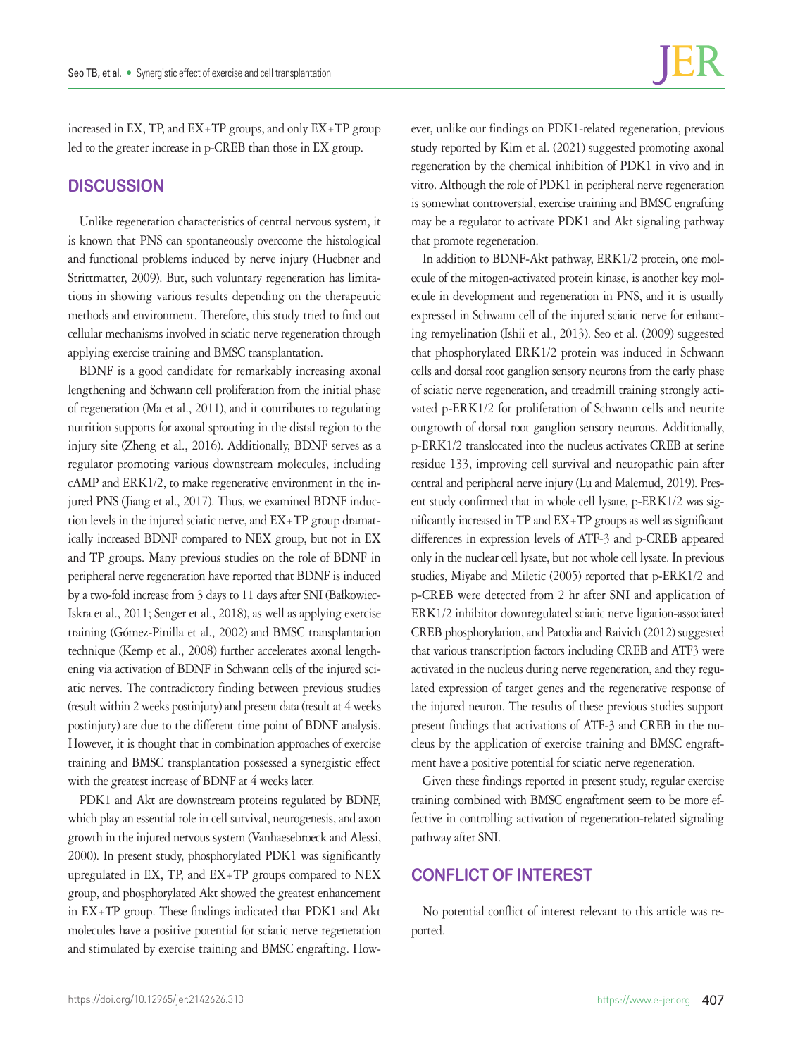increased in EX, TP, and EX+TP groups, and only EX+TP group led to the greater increase in p-CREB than those in EX group.

## **DISCUSSION**

Unlike regeneration characteristics of central nervous system, it is known that PNS can spontaneously overcome the histological and functional problems induced by nerve injury (Huebner and Strittmatter, 2009). But, such voluntary regeneration has limitations in showing various results depending on the therapeutic methods and environment. Therefore, this study tried to find out cellular mechanisms involved in sciatic nerve regeneration through applying exercise training and BMSC transplantation.

BDNF is a good candidate for remarkably increasing axonal lengthening and Schwann cell proliferation from the initial phase of regeneration (Ma et al., 2011), and it contributes to regulating nutrition supports for axonal sprouting in the distal region to the injury site (Zheng et al., 2016). Additionally, BDNF serves as a regulator promoting various downstream molecules, including cAMP and ERK1/2, to make regenerative environment in the injured PNS (Jiang et al., 2017). Thus, we examined BDNF induction levels in the injured sciatic nerve, and EX+TP group dramatically increased BDNF compared to NEX group, but not in EX and TP groups. Many previous studies on the role of BDNF in peripheral nerve regeneration have reported that BDNF is induced by a two-fold increase from 3 days to 11 days after SNI (Bałkowiec-Iskra et al., 2011; Senger et al., 2018), as well as applying exercise training (Gómez-Pinilla et al., 2002) and BMSC transplantation technique (Kemp et al., 2008) further accelerates axonal lengthening via activation of BDNF in Schwann cells of the injured sciatic nerves. The contradictory finding between previous studies (result within 2 weeks postinjury) and present data (result at 4 weeks postinjury) are due to the different time point of BDNF analysis. However, it is thought that in combination approaches of exercise training and BMSC transplantation possessed a synergistic effect with the greatest increase of BDNF at 4 weeks later.

PDK1 and Akt are downstream proteins regulated by BDNF, which play an essential role in cell survival, neurogenesis, and axon growth in the injured nervous system (Vanhaesebroeck and Alessi, 2000). In present study, phosphorylated PDK1 was significantly upregulated in EX, TP, and EX+TP groups compared to NEX group, and phosphorylated Akt showed the greatest enhancement in EX+TP group. These findings indicated that PDK1 and Akt molecules have a positive potential for sciatic nerve regeneration and stimulated by exercise training and BMSC engrafting. However, unlike our findings on PDK1-related regeneration, previous study reported by Kim et al. (2021) suggested promoting axonal regeneration by the chemical inhibition of PDK1 in vivo and in vitro. Although the role of PDK1 in peripheral nerve regeneration is somewhat controversial, exercise training and BMSC engrafting may be a regulator to activate PDK1 and Akt signaling pathway that promote regeneration.

In addition to BDNF-Akt pathway, ERK1/2 protein, one molecule of the mitogen-activated protein kinase, is another key molecule in development and regeneration in PNS, and it is usually expressed in Schwann cell of the injured sciatic nerve for enhancing remyelination (Ishii et al., 2013). Seo et al. (2009) suggested that phosphorylated ERK1/2 protein was induced in Schwann cells and dorsal root ganglion sensory neurons from the early phase of sciatic nerve regeneration, and treadmill training strongly activated p-ERK1/2 for proliferation of Schwann cells and neurite outgrowth of dorsal root ganglion sensory neurons. Additionally, p-ERK1/2 translocated into the nucleus activates CREB at serine residue 133, improving cell survival and neuropathic pain after central and peripheral nerve injury (Lu and Malemud, 2019). Present study confirmed that in whole cell lysate, p-ERK1/2 was significantly increased in TP and EX+TP groups as well as significant differences in expression levels of ATF-3 and p-CREB appeared only in the nuclear cell lysate, but not whole cell lysate. In previous studies, Miyabe and Miletic (2005) reported that p-ERK1/2 and p-CREB were detected from 2 hr after SNI and application of ERK1/2 inhibitor downregulated sciatic nerve ligation-associated CREB phosphorylation, and Patodia and Raivich (2012) suggested that various transcription factors including CREB and ATF3 were activated in the nucleus during nerve regeneration, and they regulated expression of target genes and the regenerative response of the injured neuron. The results of these previous studies support present findings that activations of ATF-3 and CREB in the nucleus by the application of exercise training and BMSC engraftment have a positive potential for sciatic nerve regeneration.

Given these findings reported in present study, regular exercise training combined with BMSC engraftment seem to be more effective in controlling activation of regeneration-related signaling pathway after SNI.

# **CONFLICT OF INTEREST**

No potential conflict of interest relevant to this article was reported.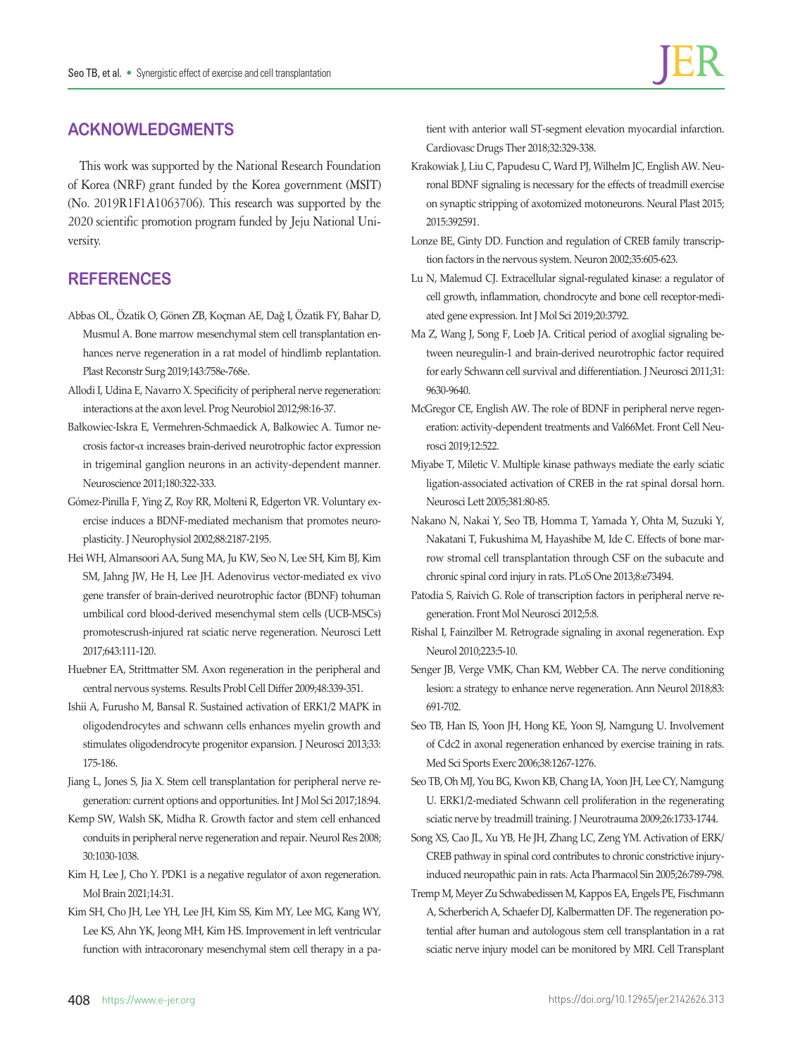# **ACKNOWLEDGMENTS**

This work was supported by the National Research Foundation of Korea (NRF) grant funded by the Korea government (MSIT) (No. 2019R1F1A1063706). This research was supported by the 2020 scientific promotion program funded by Jeju National University.

# **REFERENCES**

- Abbas OL, Özatik O, Gönen ZB, Koçman AE, Dağ I, Özatik FY, Bahar D, Musmul A. Bone marrow mesenchymal stem cell transplantation enhances nerve regeneration in a rat model of hindlimb replantation. Plast Reconstr Surg 2019;143:758e-768e.
- Allodi I, Udina E, Navarro X. Specificity of peripheral nerve regeneration: interactions at the axon level. Prog Neurobiol 2012;98:16-37.
- Bałkowiec-Iskra E, Vermehren-Schmaedick A, Balkowiec A. Tumor necrosis factor-α increases brain-derived neurotrophic factor expression in trigeminal ganglion neurons in an activity-dependent manner. Neuroscience 2011;180:322-333.
- Gómez-Pinilla F, Ying Z, Roy RR, Molteni R, Edgerton VR. Voluntary exercise induces a BDNF-mediated mechanism that promotes neuroplasticity. J Neurophysiol 2002;88:2187-2195.
- Hei WH, Almansoori AA, Sung MA, Ju KW, Seo N, Lee SH, Kim BJ, Kim SM, Jahng JW, He H, Lee JH. Adenovirus vector-mediated ex vivo gene transfer of brain-derived neurotrophic factor (BDNF) tohuman umbilical cord blood-derived mesenchymal stem cells (UCB-MSCs) promotescrush-injured rat sciatic nerve regeneration. Neurosci Lett 2017;643:111-120.
- Huebner EA, Strittmatter SM. Axon regeneration in the peripheral and central nervous systems. Results Probl Cell Differ 2009;48:339-351.
- Ishii A, Furusho M, Bansal R. Sustained activation of ERK1/2 MAPK in oligodendrocytes and schwann cells enhances myelin growth and stimulates oligodendrocyte progenitor expansion. J Neurosci 2013;33: 175-186.
- Jiang L, Jones S, Jia X. Stem cell transplantation for peripheral nerve regeneration: current options and opportunities. Int J Mol Sci 2017;18:94.
- Kemp SW, Walsh SK, Midha R. Growth factor and stem cell enhanced conduits in peripheral nerve regeneration and repair. Neurol Res 2008; 30:1030-1038.
- Kim H, Lee J, Cho Y. PDK1 is a negative regulator of axon regeneration. Mol Brain 2021;14:31.
- Kim SH, Cho JH, Lee YH, Lee JH, Kim SS, Kim MY, Lee MG, Kang WY, Lee KS, Ahn YK, Jeong MH, Kim HS. Improvement in left ventricular function with intracoronary mesenchymal stem cell therapy in a pa-

tient with anterior wall ST-segment elevation myocardial infarction. Cardiovasc Drugs Ther 2018;32:329-338.

- Krakowiak J, Liu C, Papudesu C, Ward PJ, Wilhelm JC, English AW. Neuronal BDNF signaling is necessary for the effects of treadmill exercise on synaptic stripping of axotomized motoneurons. Neural Plast 2015; 2015:392591.
- Lonze BE, Ginty DD. Function and regulation of CREB family transcription factors in the nervous system. Neuron 2002;35:605-623.
- Lu N, Malemud CJ. Extracellular signal-regulated kinase: a regulator of cell growth, inflammation, chondrocyte and bone cell receptor-mediated gene expression. Int J Mol Sci 2019;20:3792.
- Ma Z, Wang J, Song F, Loeb JA. Critical period of axoglial signaling between neuregulin-1 and brain-derived neurotrophic factor required for early Schwann cell survival and differentiation. J Neurosci 2011;31: 9630-9640.
- McGregor CE, English AW. The role of BDNF in peripheral nerve regeneration: activity-dependent treatments and Val66Met. Front Cell Neurosci 2019;12:522.
- Miyabe T, Miletic V. Multiple kinase pathways mediate the early sciatic ligation-associated activation of CREB in the rat spinal dorsal horn. Neurosci Lett 2005;381:80-85.
- Nakano N, Nakai Y, Seo TB, Homma T, Yamada Y, Ohta M, Suzuki Y, Nakatani T, Fukushima M, Hayashibe M, Ide C. Effects of bone marrow stromal cell transplantation through CSF on the subacute and chronic spinal cord injury in rats. PLoS One 2013;8:e73494.
- Patodia S, Raivich G. Role of transcription factors in peripheral nerve regeneration. Front Mol Neurosci 2012;5:8.
- Rishal I, Fainzilber M. Retrograde signaling in axonal regeneration. Exp Neurol 2010;223:5-10.
- Senger JB, Verge VMK, Chan KM, Webber CA. The nerve conditioning lesion: a strategy to enhance nerve regeneration. Ann Neurol 2018;83: 691-702.
- Seo TB, Han IS, Yoon JH, Hong KE, Yoon SJ, Namgung U. Involvement of Cdc2 in axonal regeneration enhanced by exercise training in rats. Med Sci Sports Exerc 2006;38:1267-1276.
- Seo TB, Oh MJ, You BG, Kwon KB, Chang IA, Yoon JH, Lee CY, Namgung U. ERK1/2-mediated Schwann cell proliferation in the regenerating sciatic nerve by treadmill training. J Neurotrauma 2009;26:1733-1744.
- Song XS, Cao JL, Xu YB, He JH, Zhang LC, Zeng YM. Activation of ERK/ CREB pathway in spinal cord contributes to chronic constrictive injuryinduced neuropathic pain in rats. Acta Pharmacol Sin 2005;26:789-798.
- Tremp M, Meyer Zu Schwabedissen M, Kappos EA, Engels PE, Fischmann A, Scherberich A, Schaefer DJ, Kalbermatten DF. The regeneration potential after human and autologous stem cell transplantation in a rat sciatic nerve injury model can be monitored by MRI. Cell Transplant